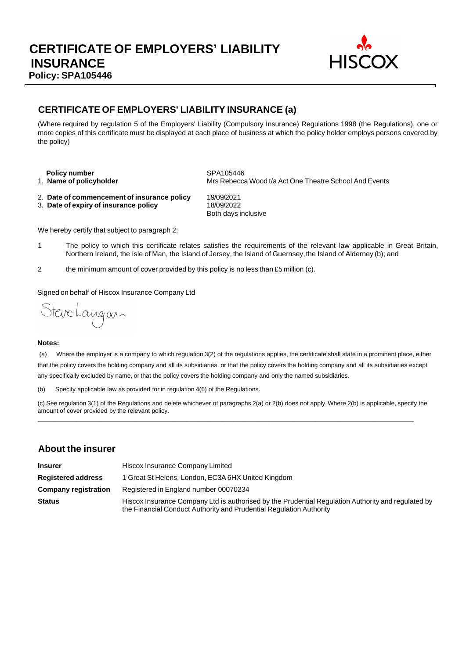

### **CERTIFICATE OF EMPLOYERS' LIABILITY INSURANCE (a)**

(Where required by regulation 5 of the Employers' Liability (Compulsory Insurance) Regulations 1998 (the Regulations), one or more copies of this certificate must be displayed at each place of business at which the policy holder employs persons covered by the policy)

**Policy number** SPA105446

1. **Name of policyholder** Mrs Rebecca Wood t/a Act One Theatre School And Events

- 2. **Date of commencement of insurance policy** 19/09/2021
- 3. **Date of expiry of insurance policy** 18/09/2022

Both days inclusive

We hereby certify that subject to paragraph 2:

- 1 The policy to which this certificate relates satisfies the requirements of the relevant law applicable in Great Britain, Northern Ireland, the Isle of Man, the Island of Jersey, the Island of Guernsey,the Island of Alderney (b); and
- 2 the minimum amount of cover provided by this policy is no less than £5 million (c).

Signed on behalf of Hiscox Insurance Company Ltd

Steve Langan

#### **Notes:**

(a) Where the employer is a company to which regulation 3(2) of the regulations applies, the certificate shall state in a prominent place, either that the policy covers the holding company and all its subsidiaries, or that the policy covers the holding company and all its subsidiaries except any specifically excluded by name, or that the policy covers the holding company and only the named subsidiaries.

(b) Specify applicable law as provided for in regulation 4(6) of the Regulations.

(c) See regulation 3(1) of the Regulations and delete whichever of paragraphs 2(a) or 2(b) does not apply.Where 2(b) is applicable, specify the amount of cover provided by the relevant policy. **\_\_\_\_\_\_\_\_\_\_\_\_\_\_\_\_\_\_\_\_\_\_\_\_\_\_\_\_\_\_\_\_\_\_\_\_\_\_\_\_\_\_\_\_\_\_\_\_\_\_\_\_\_\_\_\_\_\_\_\_\_\_\_\_\_\_\_\_\_\_\_\_\_\_\_\_\_\_\_\_\_\_\_\_\_\_\_\_\_\_\_\_\_\_\_\_**

### **About the insurer**

| <b>Insurer</b>              | Hiscox Insurance Company Limited                                                                                                                                          |  |  |  |
|-----------------------------|---------------------------------------------------------------------------------------------------------------------------------------------------------------------------|--|--|--|
| <b>Registered address</b>   | 1 Great St Helens, London, EC3A 6HX United Kingdom                                                                                                                        |  |  |  |
| <b>Company registration</b> | Registered in England number 00070234                                                                                                                                     |  |  |  |
| <b>Status</b>               | Hiscox Insurance Company Ltd is authorised by the Prudential Regulation Authority and regulated by<br>the Financial Conduct Authority and Prudential Regulation Authority |  |  |  |